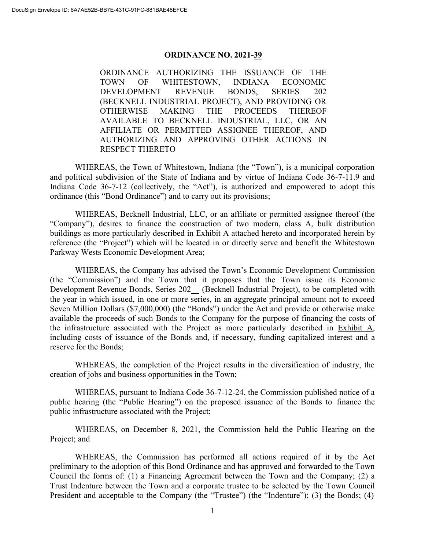## **ORDINANCE NO. 2021-39**

ORDINANCE AUTHORIZING THE ISSUANCE OF THE TOWN OF WHITESTOWN, INDIANA ECONOMIC DEVELOPMENT REVENUE BONDS, SERIES 202 (BECKNELL INDUSTRIAL PROJECT), AND PROVIDING OR OTHERWISE MAKING THE PROCEEDS THEREOF AVAILABLE TO BECKNELL INDUSTRIAL, LLC, OR AN AFFILIATE OR PERMITTED ASSIGNEE THEREOF, AND AUTHORIZING AND APPROVING OTHER ACTIONS IN RESPECT THERETO

WHEREAS, the Town of Whitestown, Indiana (the "Town"), is a municipal corporation and political subdivision of the State of Indiana and by virtue of Indiana Code 36-7-11.9 and Indiana Code 36-7-12 (collectively, the "Act"), is authorized and empowered to adopt this ordinance (this "Bond Ordinance") and to carry out its provisions;

WHEREAS, Becknell Industrial, LLC, or an affiliate or permitted assignee thereof (the "Company"), desires to finance the construction of two modern, class A, bulk distribution buildings as more particularly described in Exhibit A attached hereto and incorporated herein by reference (the "Project") which will be located in or directly serve and benefit the Whitestown Parkway Wests Economic Development Area;

WHEREAS, the Company has advised the Town's Economic Development Commission (the "Commission") and the Town that it proposes that the Town issue its Economic Development Revenue Bonds, Series 202\_ (Becknell Industrial Project), to be completed with the year in which issued, in one or more series, in an aggregate principal amount not to exceed Seven Million Dollars (\$7,000,000) (the "Bonds") under the Act and provide or otherwise make available the proceeds of such Bonds to the Company for the purpose of financing the costs of the infrastructure associated with the Project as more particularly described in Exhibit A, including costs of issuance of the Bonds and, if necessary, funding capitalized interest and a reserve for the Bonds;

WHEREAS, the completion of the Project results in the diversification of industry, the creation of jobs and business opportunities in the Town;

WHEREAS, pursuant to Indiana Code 36-7-12-24, the Commission published notice of a public hearing (the "Public Hearing") on the proposed issuance of the Bonds to finance the public infrastructure associated with the Project;

WHEREAS, on December 8, 2021, the Commission held the Public Hearing on the Project; and

WHEREAS, the Commission has performed all actions required of it by the Act preliminary to the adoption of this Bond Ordinance and has approved and forwarded to the Town Council the forms of: (1) a Financing Agreement between the Town and the Company; (2) a Trust Indenture between the Town and a corporate trustee to be selected by the Town Council President and acceptable to the Company (the "Trustee") (the "Indenture"); (3) the Bonds; (4)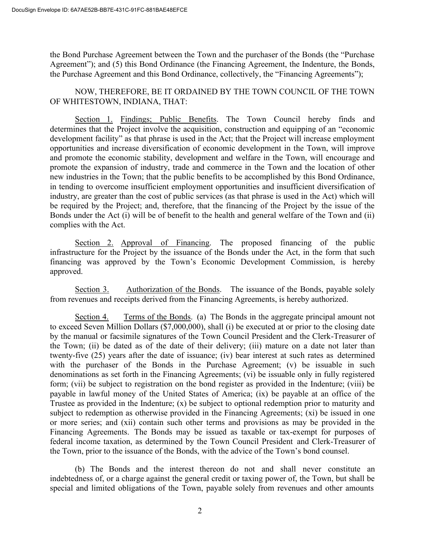the Bond Purchase Agreement between the Town and the purchaser of the Bonds (the "Purchase Agreement"); and (5) this Bond Ordinance (the Financing Agreement, the Indenture, the Bonds, the Purchase Agreement and this Bond Ordinance, collectively, the "Financing Agreements");

NOW, THEREFORE, BE IT ORDAINED BY THE TOWN COUNCIL OF THE TOWN OF WHITESTOWN, INDIANA, THAT:

Section 1. Findings; Public Benefits. The Town Council hereby finds and determines that the Project involve the acquisition, construction and equipping of an "economic development facility" as that phrase is used in the Act; that the Project will increase employment opportunities and increase diversification of economic development in the Town, will improve and promote the economic stability, development and welfare in the Town, will encourage and promote the expansion of industry, trade and commerce in the Town and the location of other new industries in the Town; that the public benefits to be accomplished by this Bond Ordinance, in tending to overcome insufficient employment opportunities and insufficient diversification of industry, are greater than the cost of public services (as that phrase is used in the Act) which will be required by the Project; and, therefore, that the financing of the Project by the issue of the Bonds under the Act (i) will be of benefit to the health and general welfare of the Town and (ii) complies with the Act.

Section 2. Approval of Financing. The proposed financing of the public infrastructure for the Project by the issuance of the Bonds under the Act, in the form that such financing was approved by the Town's Economic Development Commission, is hereby approved.

Section 3. Authorization of the Bonds. The issuance of the Bonds, payable solely from revenues and receipts derived from the Financing Agreements, is hereby authorized.

Section 4. Terms of the Bonds. (a) The Bonds in the aggregate principal amount not to exceed Seven Million Dollars (\$7,000,000), shall (i) be executed at or prior to the closing date by the manual or facsimile signatures of the Town Council President and the Clerk-Treasurer of the Town; (ii) be dated as of the date of their delivery; (iii) mature on a date not later than twenty-five (25) years after the date of issuance; (iv) bear interest at such rates as determined with the purchaser of the Bonds in the Purchase Agreement; (v) be issuable in such denominations as set forth in the Financing Agreements; (vi) be issuable only in fully registered form; (vii) be subject to registration on the bond register as provided in the Indenture; (viii) be payable in lawful money of the United States of America; (ix) be payable at an office of the Trustee as provided in the Indenture; (x) be subject to optional redemption prior to maturity and subject to redemption as otherwise provided in the Financing Agreements; (xi) be issued in one or more series; and (xii) contain such other terms and provisions as may be provided in the Financing Agreements. The Bonds may be issued as taxable or tax-exempt for purposes of federal income taxation, as determined by the Town Council President and Clerk-Treasurer of the Town, prior to the issuance of the Bonds, with the advice of the Town's bond counsel.

(b) The Bonds and the interest thereon do not and shall never constitute an indebtedness of, or a charge against the general credit or taxing power of, the Town, but shall be special and limited obligations of the Town, payable solely from revenues and other amounts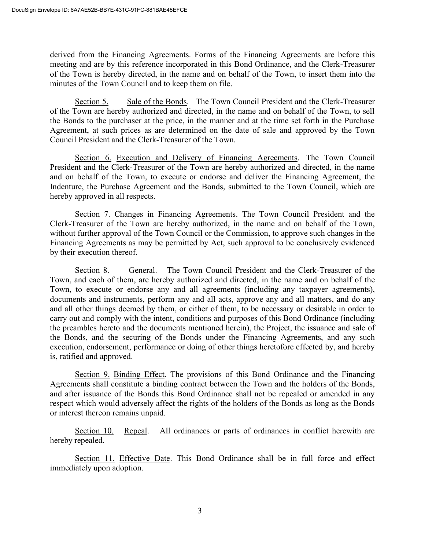derived from the Financing Agreements. Forms of the Financing Agreements are before this meeting and are by this reference incorporated in this Bond Ordinance, and the Clerk-Treasurer of the Town is hereby directed, in the name and on behalf of the Town, to insert them into the minutes of the Town Council and to keep them on file.

Section 5. Sale of the Bonds. The Town Council President and the Clerk-Treasurer of the Town are hereby authorized and directed, in the name and on behalf of the Town, to sell the Bonds to the purchaser at the price, in the manner and at the time set forth in the Purchase Agreement, at such prices as are determined on the date of sale and approved by the Town Council President and the Clerk-Treasurer of the Town.

Section 6. Execution and Delivery of Financing Agreements. The Town Council President and the Clerk-Treasurer of the Town are hereby authorized and directed, in the name and on behalf of the Town, to execute or endorse and deliver the Financing Agreement, the Indenture, the Purchase Agreement and the Bonds, submitted to the Town Council, which are hereby approved in all respects.

Section 7. Changes in Financing Agreements. The Town Council President and the Clerk-Treasurer of the Town are hereby authorized, in the name and on behalf of the Town, without further approval of the Town Council or the Commission, to approve such changes in the Financing Agreements as may be permitted by Act, such approval to be conclusively evidenced by their execution thereof.

Section 8. General. The Town Council President and the Clerk-Treasurer of the Town, and each of them, are hereby authorized and directed, in the name and on behalf of the Town, to execute or endorse any and all agreements (including any taxpayer agreements), documents and instruments, perform any and all acts, approve any and all matters, and do any and all other things deemed by them, or either of them, to be necessary or desirable in order to carry out and comply with the intent, conditions and purposes of this Bond Ordinance (including the preambles hereto and the documents mentioned herein), the Project, the issuance and sale of the Bonds, and the securing of the Bonds under the Financing Agreements, and any such execution, endorsement, performance or doing of other things heretofore effected by, and hereby is, ratified and approved.

Section 9. Binding Effect. The provisions of this Bond Ordinance and the Financing Agreements shall constitute a binding contract between the Town and the holders of the Bonds, and after issuance of the Bonds this Bond Ordinance shall not be repealed or amended in any respect which would adversely affect the rights of the holders of the Bonds as long as the Bonds or interest thereon remains unpaid.

Section 10. Repeal. All ordinances or parts of ordinances in conflict herewith are hereby repealed.

Section 11. Effective Date. This Bond Ordinance shall be in full force and effect immediately upon adoption.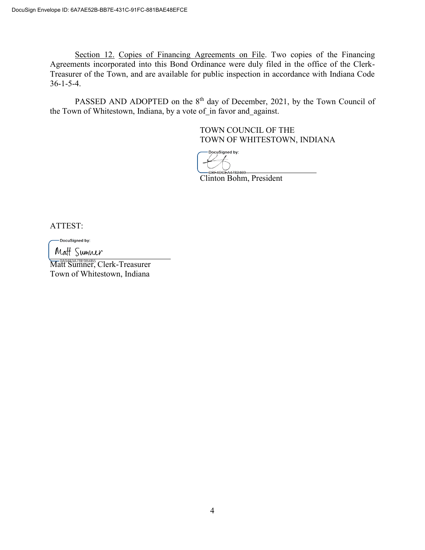Section 12. Copies of Financing Agreements on File. Two copies of the Financing Agreements incorporated into this Bond Ordinance were duly filed in the office of the Clerk-Treasurer of the Town, and are available for public inspection in accordance with Indiana Code 36-1-5-4.

PASSED AND ADOPTED on the 8<sup>th</sup> day of December, 2021, by the Town Council of the Town of Whitestown, Indiana, by a vote of in favor and against.

> TOWN COUNCIL OF THE TOWN OF WHITESTOWN, INDIANA

DocuSigned by:

Clinton Bohm, President

ATTEST:

DocuSigned by:

Matt Sumner

Matt Sumner, Clerk-Treasurer Town of Whitestown, Indiana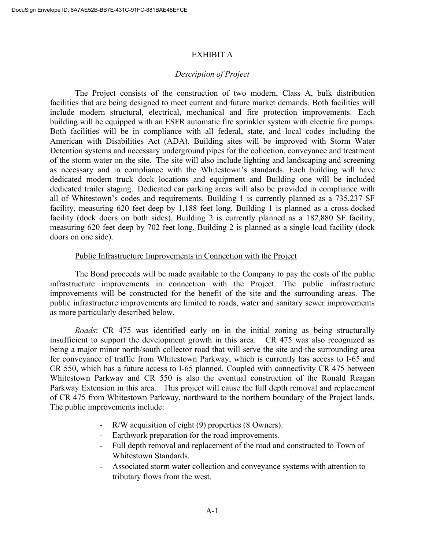## EXHIBIT A

## *Description of Project*

The Project consists of the construction of two modern, Class A, bulk distribution facilities that are being designed to meet current and future market demands. Both facilities will include modern structural, electrical, mechanical and fire protection improvements. Each building will be equipped with an ESFR automatic fire sprinkler system with electric fire pumps. Both facilities will be in compliance with all federal, state, and local codes including the American with Disabilities Act (ADA). Building sites will be improved with Storm Water Detention systems and necessary underground pipes for the collection, conveyance and treatment of the storm water on the site. The site will also include lighting and landscaping and screening as necessary and in compliance with the Whitestown's standards. Each building will have dedicated modern truck dock locations and equipment and Building one will be included dedicated trailer staging. Dedicated car parking areas will also be provided in compliance with all of Whitestown's codes and requirements. Building 1 is currently planned as a 735,237 SF facility, measuring 620 feet deep by 1,188 feet long. Building 1 is planned as a cross-docked facility (dock doors on both sides). Building 2 is currently planned as a 182,880 SF facility, measuring 620 feet deep by 702 feet long. Building 2 is planned as a single load facility (dock doors on one side).

## Public Infrastructure Improvements in Connection with the Project

The Bond proceeds will be made available to the Company to pay the costs of the public infrastructure improvements in connection with the Project. The public infrastructure improvements will be constructed for the benefit of the site and the surrounding areas. The public infrastructure improvements are limited to roads, water and sanitary sewer improvements as more particularly described below.

*Roads*: CR 475 was identified early on in the initial zoning as being structurally insufficient to support the development growth in this area. CR 475 was also recognized as being a major minor north/south collector road that will serve the site and the surrounding area for conveyance of traffic from Whitestown Parkway, which is currently has access to I-65 and CR 550, which has a future access to I-65 planned. Coupled with connectivity CR 475 between Whitestown Parkway and CR 550 is also the eventual construction of the Ronald Reagan Parkway Extension in this area. This project will cause the full depth removal and replacement of CR 475 from Whitestown Parkway, northward to the northern boundary of the Project lands. The public improvements include:

- R/W acquisition of eight (9) properties (8 Owners).
- Earthwork preparation for the road improvements.
- Full depth removal and replacement of the road and constructed to Town of Whitestown Standards.
- Associated storm water collection and conveyance systems with attention to tributary flows from the west.